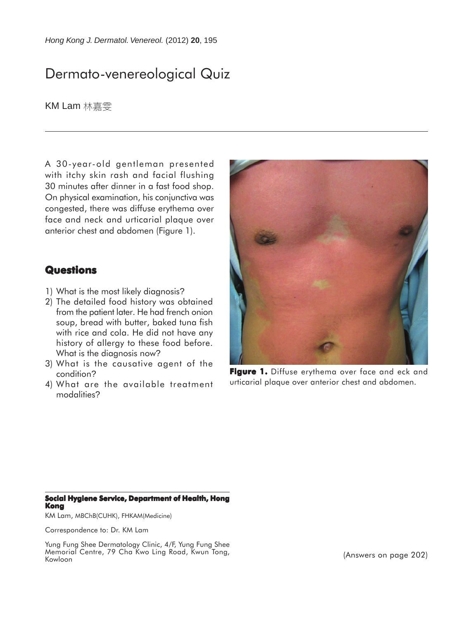# Dermato-venereological Quiz

KM Lam 林嘉雯

A 30-year-old gentleman presented with itchy skin rash and facial flushing 30 minutes after dinner in a fast food shop. On physical examination, his conjunctiva was congested, there was diffuse erythema over face and neck and urticarial plaque over anterior chest and abdomen (Figure 1).

## **Questions**

- 1) What is the most likely diagnosis?
- 2) The detailed food history was obtained from the patient later. He had french onion soup, bread with butter, baked tuna fish with rice and cola. He did not have any history of allergy to these food before. What is the diagnosis now?
- 3) What is the causative agent of the condition?
- 4) What are the available treatment modalities?



**Figure 1.** Diffuse erythema over face and eck and urticarial plaque over anterior chest and abdomen.

#### **Social Hygiene Service, Department of Health, Hong Kong**

KM Lam, MBChB(CUHK), FHKAM(Medicine)

Correspondence to: Dr. KM Lam

Yung Fung Shee Dermatology Clinic, 4/F, Yung Fung Shee Memorial Centre, 79 Cha Kwo Ling Road, Kwun Tong, Kowloon

(Answers on page 202)